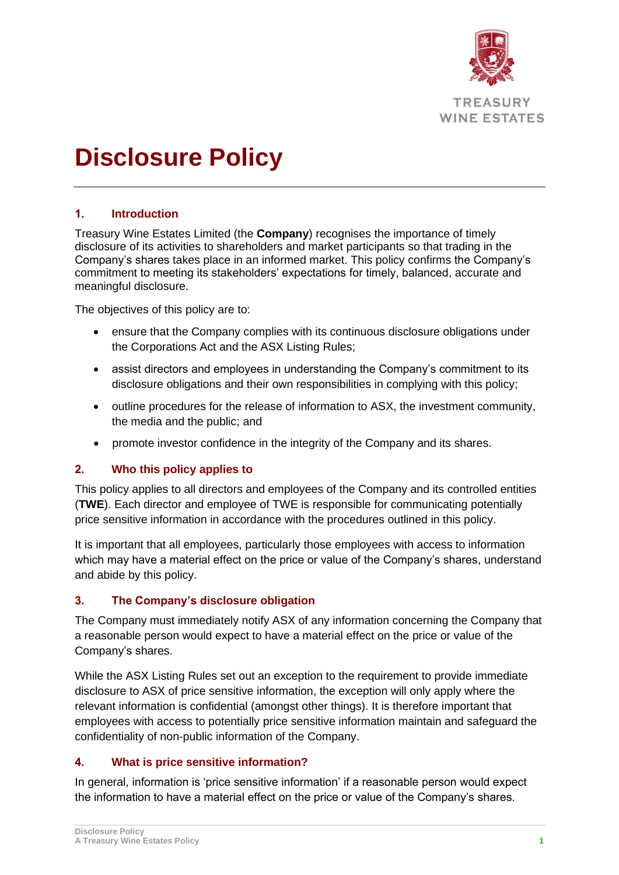

# **Disclosure Policy**

### **1. Introduction**

Treasury Wine Estates Limited (the **Company**) recognises the importance of timely disclosure of its activities to shareholders and market participants so that trading in the Company's shares takes place in an informed market. This policy confirms the Company's commitment to meeting its stakeholders' expectations for timely, balanced, accurate and meaningful disclosure.

The objectives of this policy are to:

- ensure that the Company complies with its continuous disclosure obligations under the Corporations Act and the ASX Listing Rules;
- assist directors and employees in understanding the Company's commitment to its disclosure obligations and their own responsibilities in complying with this policy;
- outline procedures for the release of information to ASX, the investment community, the media and the public; and
- promote investor confidence in the integrity of the Company and its shares.

#### **2. Who this policy applies to**

This policy applies to all directors and employees of the Company and its controlled entities (**TWE**). Each director and employee of TWE is responsible for communicating potentially price sensitive information in accordance with the procedures outlined in this policy.

It is important that all employees, particularly those employees with access to information which may have a material effect on the price or value of the Company's shares, understand and abide by this policy.

#### **3. The Company's disclosure obligation**

The Company must immediately notify ASX of any information concerning the Company that a reasonable person would expect to have a material effect on the price or value of the Company's shares.

While the ASX Listing Rules set out an exception to the requirement to provide immediate disclosure to ASX of price sensitive information, the exception will only apply where the relevant information is confidential (amongst other things). It is therefore important that employees with access to potentially price sensitive information maintain and safeguard the confidentiality of non-public information of the Company.

#### **4. What is price sensitive information?**

In general, information is 'price sensitive information' if a reasonable person would expect the information to have a material effect on the price or value of the Company's shares.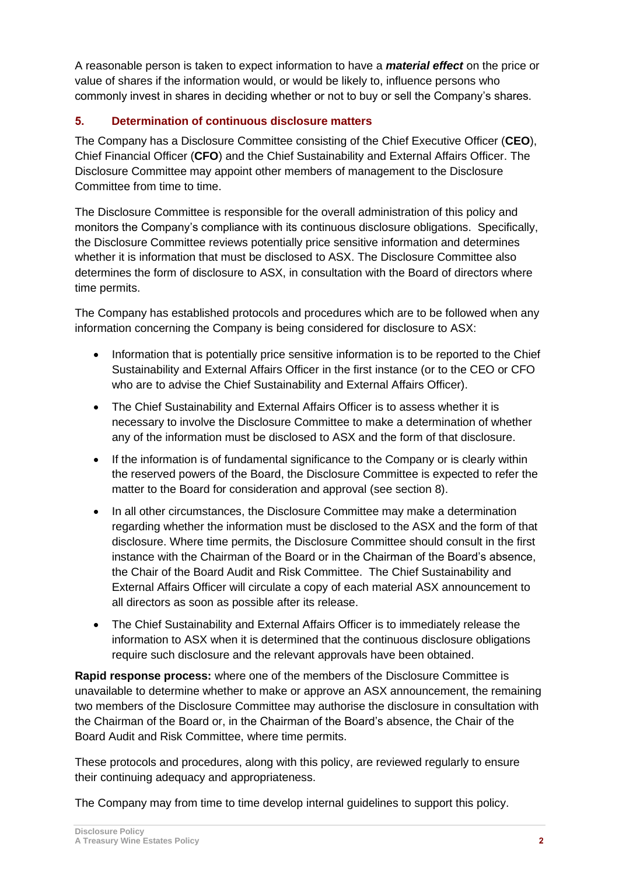A reasonable person is taken to expect information to have a *material effect* on the price or value of shares if the information would, or would be likely to, influence persons who commonly invest in shares in deciding whether or not to buy or sell the Company's shares.

# <span id="page-1-0"></span>**5. Determination of continuous disclosure matters**

The Company has a Disclosure Committee consisting of the Chief Executive Officer (**CEO**), Chief Financial Officer (**CFO**) and the Chief Sustainability and External Affairs Officer. The Disclosure Committee may appoint other members of management to the Disclosure Committee from time to time.

The Disclosure Committee is responsible for the overall administration of this policy and monitors the Company's compliance with its continuous disclosure obligations. Specifically, the Disclosure Committee reviews potentially price sensitive information and determines whether it is information that must be disclosed to ASX. The Disclosure Committee also determines the form of disclosure to ASX, in consultation with the Board of directors where time permits.

The Company has established protocols and procedures which are to be followed when any information concerning the Company is being considered for disclosure to ASX:

- Information that is potentially price sensitive information is to be reported to the Chief Sustainability and External Affairs Officer in the first instance (or to the CEO or CFO who are to advise the Chief Sustainability and External Affairs Officer).
- The Chief Sustainability and External Affairs Officer is to assess whether it is necessary to involve the Disclosure Committee to make a determination of whether any of the information must be disclosed to ASX and the form of that disclosure.
- If the information is of fundamental significance to the Company or is clearly within the reserved powers of the Board, the Disclosure Committee is expected to refer the matter to the Board for consideration and approval (see section [8\)](#page-2-0).
- In all other circumstances, the Disclosure Committee may make a determination regarding whether the information must be disclosed to the ASX and the form of that disclosure. Where time permits, the Disclosure Committee should consult in the first instance with the Chairman of the Board or in the Chairman of the Board's absence, the Chair of the Board Audit and Risk Committee. The Chief Sustainability and External Affairs Officer will circulate a copy of each material ASX announcement to all directors as soon as possible after its release.
- The Chief Sustainability and External Affairs Officer is to immediately release the information to ASX when it is determined that the continuous disclosure obligations require such disclosure and the relevant approvals have been obtained.

**Rapid response process:** where one of the members of the Disclosure Committee is unavailable to determine whether to make or approve an ASX announcement, the remaining two members of the Disclosure Committee may authorise the disclosure in consultation with the Chairman of the Board or, in the Chairman of the Board's absence, the Chair of the Board Audit and Risk Committee, where time permits.

These protocols and procedures, along with this policy, are reviewed regularly to ensure their continuing adequacy and appropriateness.

The Company may from time to time develop internal guidelines to support this policy.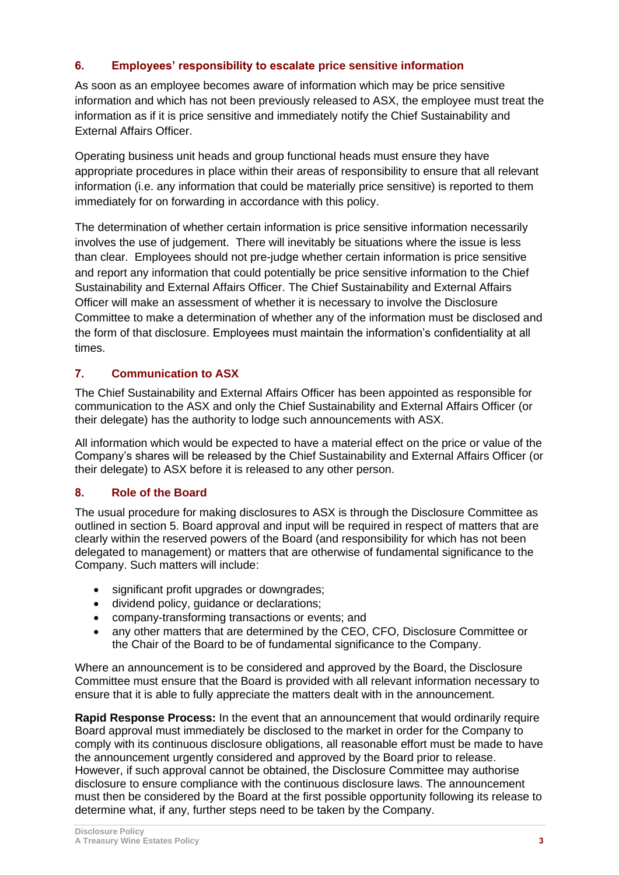#### **6. Employees' responsibility to escalate price sensitive information**

As soon as an employee becomes aware of information which may be price sensitive information and which has not been previously released to ASX, the employee must treat the information as if it is price sensitive and immediately notify the Chief Sustainability and External Affairs Officer.

Operating business unit heads and group functional heads must ensure they have appropriate procedures in place within their areas of responsibility to ensure that all relevant information (i.e. any information that could be materially price sensitive) is reported to them immediately for on forwarding in accordance with this policy.

The determination of whether certain information is price sensitive information necessarily involves the use of judgement. There will inevitably be situations where the issue is less than clear. Employees should not pre-judge whether certain information is price sensitive and report any information that could potentially be price sensitive information to the Chief Sustainability and External Affairs Officer. The Chief Sustainability and External Affairs Officer will make an assessment of whether it is necessary to involve the Disclosure Committee to make a determination of whether any of the information must be disclosed and the form of that disclosure. Employees must maintain the information's confidentiality at all times.

### **7. Communication to ASX**

The Chief Sustainability and External Affairs Officer has been appointed as responsible for communication to the ASX and only the Chief Sustainability and External Affairs Officer (or their delegate) has the authority to lodge such announcements with ASX.

All information which would be expected to have a material effect on the price or value of the Company's shares will be released by the Chief Sustainability and External Affairs Officer (or their delegate) to ASX before it is released to any other person.

#### <span id="page-2-0"></span>**8. Role of the Board**

The usual procedure for making disclosures to ASX is through the Disclosure Committee as outlined in section [5.](#page-1-0) Board approval and input will be required in respect of matters that are clearly within the reserved powers of the Board (and responsibility for which has not been delegated to management) or matters that are otherwise of fundamental significance to the Company. Such matters will include:

- significant profit upgrades or downgrades;
- dividend policy, guidance or declarations;
- company-transforming transactions or events; and
- any other matters that are determined by the CEO, CFO, Disclosure Committee or the Chair of the Board to be of fundamental significance to the Company.

Where an announcement is to be considered and approved by the Board, the Disclosure Committee must ensure that the Board is provided with all relevant information necessary to ensure that it is able to fully appreciate the matters dealt with in the announcement.

**Rapid Response Process:** In the event that an announcement that would ordinarily require Board approval must immediately be disclosed to the market in order for the Company to comply with its continuous disclosure obligations, all reasonable effort must be made to have the announcement urgently considered and approved by the Board prior to release. However, if such approval cannot be obtained, the Disclosure Committee may authorise disclosure to ensure compliance with the continuous disclosure laws. The announcement must then be considered by the Board at the first possible opportunity following its release to determine what, if any, further steps need to be taken by the Company.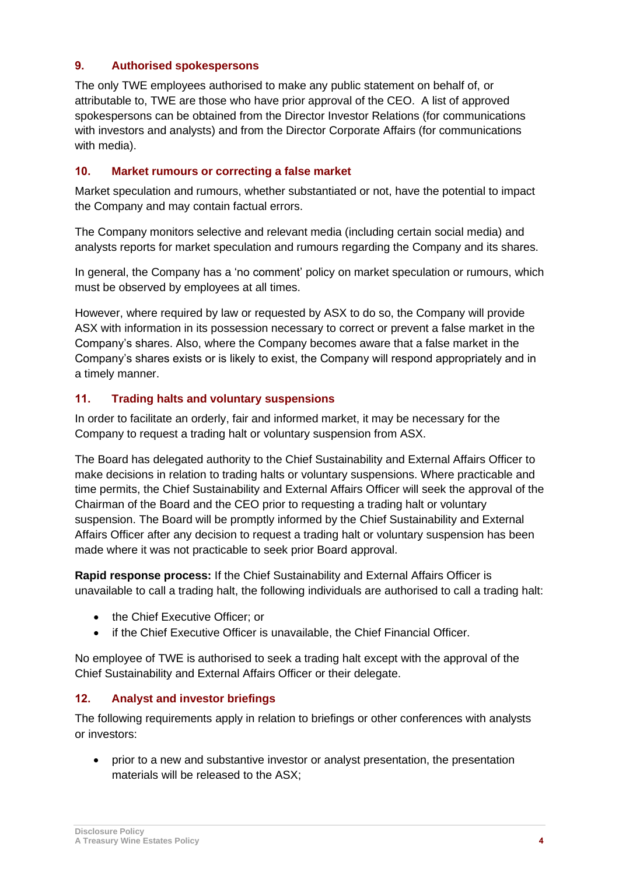### **9. Authorised spokespersons**

The only TWE employees authorised to make any public statement on behalf of, or attributable to, TWE are those who have prior approval of the CEO. A list of approved spokespersons can be obtained from the Director Investor Relations (for communications with investors and analysts) and from the Director Corporate Affairs (for communications with media).

#### **10. Market rumours or correcting a false market**

Market speculation and rumours, whether substantiated or not, have the potential to impact the Company and may contain factual errors.

The Company monitors selective and relevant media (including certain social media) and analysts reports for market speculation and rumours regarding the Company and its shares.

In general, the Company has a 'no comment' policy on market speculation or rumours, which must be observed by employees at all times.

However, where required by law or requested by ASX to do so, the Company will provide ASX with information in its possession necessary to correct or prevent a false market in the Company's shares. Also, where the Company becomes aware that a false market in the Company's shares exists or is likely to exist, the Company will respond appropriately and in a timely manner.

### **11. Trading halts and voluntary suspensions**

In order to facilitate an orderly, fair and informed market, it may be necessary for the Company to request a trading halt or voluntary suspension from ASX.

The Board has delegated authority to the Chief Sustainability and External Affairs Officer to make decisions in relation to trading halts or voluntary suspensions. Where practicable and time permits, the Chief Sustainability and External Affairs Officer will seek the approval of the Chairman of the Board and the CEO prior to requesting a trading halt or voluntary suspension. The Board will be promptly informed by the Chief Sustainability and External Affairs Officer after any decision to request a trading halt or voluntary suspension has been made where it was not practicable to seek prior Board approval.

**Rapid response process:** If the Chief Sustainability and External Affairs Officer is unavailable to call a trading halt, the following individuals are authorised to call a trading halt:

- the Chief Executive Officer; or
- if the Chief Executive Officer is unavailable, the Chief Financial Officer.

No employee of TWE is authorised to seek a trading halt except with the approval of the Chief Sustainability and External Affairs Officer or their delegate.

# **12. Analyst and investor briefings**

The following requirements apply in relation to briefings or other conferences with analysts or investors:

• prior to a new and substantive investor or analyst presentation, the presentation materials will be released to the ASX;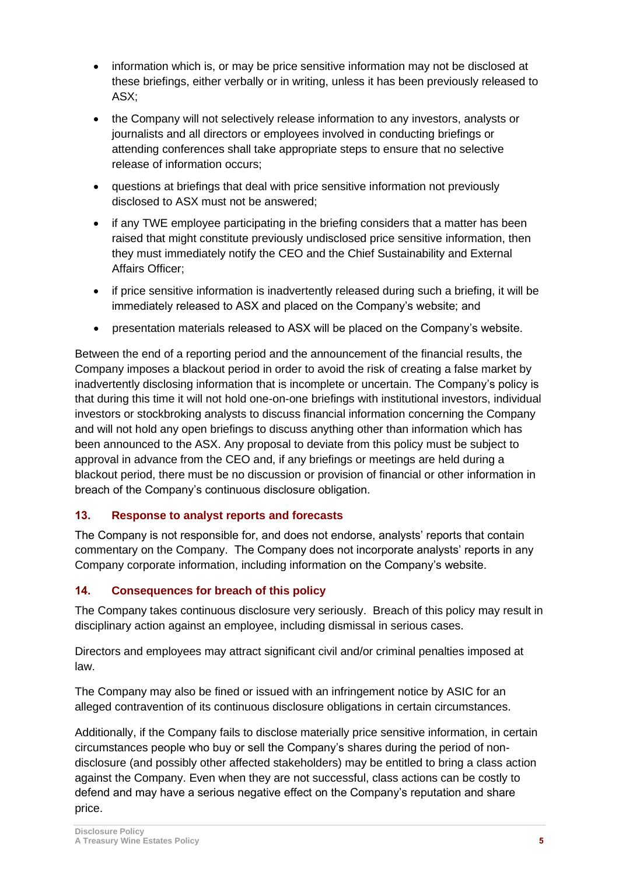- information which is, or may be price sensitive information may not be disclosed at these briefings, either verbally or in writing, unless it has been previously released to ASX;
- the Company will not selectively release information to any investors, analysts or journalists and all directors or employees involved in conducting briefings or attending conferences shall take appropriate steps to ensure that no selective release of information occurs;
- questions at briefings that deal with price sensitive information not previously disclosed to ASX must not be answered;
- if any TWE employee participating in the briefing considers that a matter has been raised that might constitute previously undisclosed price sensitive information, then they must immediately notify the CEO and the Chief Sustainability and External Affairs Officer;
- if price sensitive information is inadvertently released during such a briefing, it will be immediately released to ASX and placed on the Company's website; and
- presentation materials released to ASX will be placed on the Company's website.

Between the end of a reporting period and the announcement of the financial results, the Company imposes a blackout period in order to avoid the risk of creating a false market by inadvertently disclosing information that is incomplete or uncertain. The Company's policy is that during this time it will not hold one-on-one briefings with institutional investors, individual investors or stockbroking analysts to discuss financial information concerning the Company and will not hold any open briefings to discuss anything other than information which has been announced to the ASX. Any proposal to deviate from this policy must be subject to approval in advance from the CEO and, if any briefings or meetings are held during a blackout period, there must be no discussion or provision of financial or other information in breach of the Company's continuous disclosure obligation.

# **13. Response to analyst reports and forecasts**

The Company is not responsible for, and does not endorse, analysts' reports that contain commentary on the Company. The Company does not incorporate analysts' reports in any Company corporate information, including information on the Company's website.

# **14. Consequences for breach of this policy**

The Company takes continuous disclosure very seriously. Breach of this policy may result in disciplinary action against an employee, including dismissal in serious cases.

Directors and employees may attract significant civil and/or criminal penalties imposed at law.

The Company may also be fined or issued with an infringement notice by ASIC for an alleged contravention of its continuous disclosure obligations in certain circumstances.

Additionally, if the Company fails to disclose materially price sensitive information, in certain circumstances people who buy or sell the Company's shares during the period of nondisclosure (and possibly other affected stakeholders) may be entitled to bring a class action against the Company. Even when they are not successful, class actions can be costly to defend and may have a serious negative effect on the Company's reputation and share price.